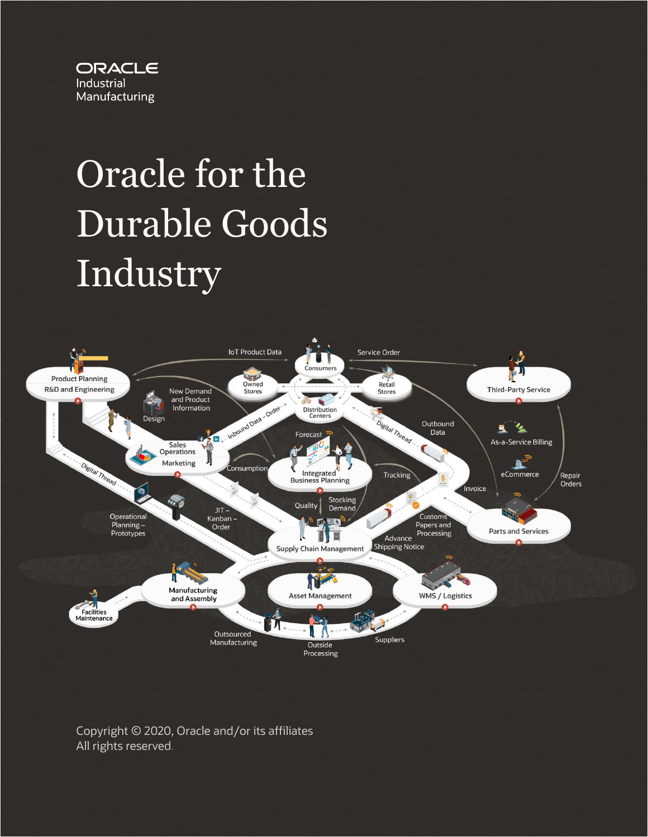

# Oracle for the Durable Goods Industry



Copyright © 2020, Oracle and/or its affiliates All rights reserved.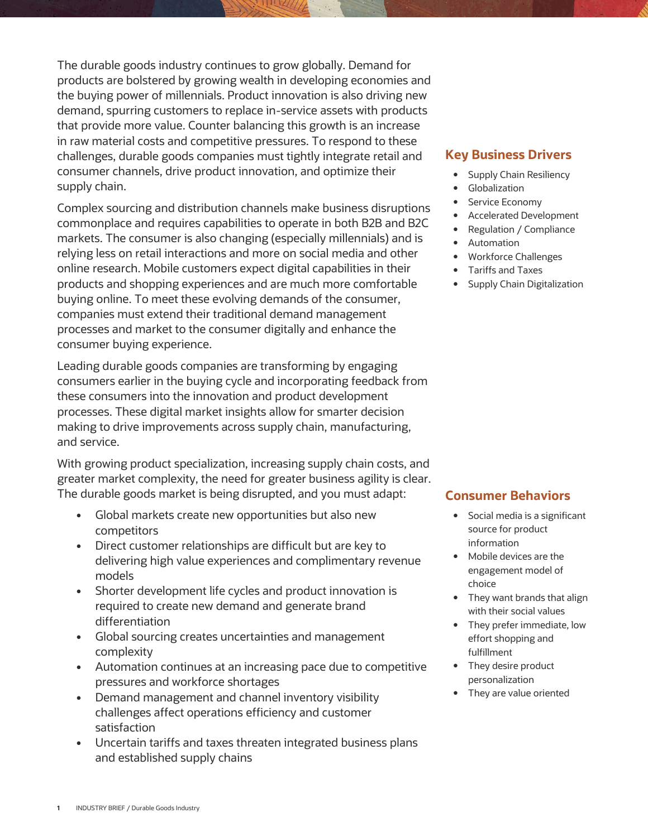The durable goods industry continues to grow globally. Demand for products are bolstered by growing wealth in developing economies and the buying power of millennials. Product innovation is also driving new demand, spurring customers to replace in-service assets with products that provide more value. Counter balancing this growth is an increase in raw material costs and competitive pressures. To respond to these challenges, durable goods companies must tightly integrate retail and consumer channels, drive product innovation, and optimize their supply chain.

Complex sourcing and distribution channels make business disruptions commonplace and requires capabilities to operate in both B2B and B2C markets. The consumer is also changing (especially millennials) and is relying less on retail interactions and more on social media and other online research. Mobile customers expect digital capabilities in their products and shopping experiences and are much more comfortable buying online. To meet these evolving demands of the consumer, companies must extend their traditional demand management processes and market to the consumer digitally and enhance the consumer buying experience.

Leading durable goods companies are transforming by engaging consumers earlier in the buying cycle and incorporating feedback from these consumers into the innovation and product development processes. These digital market insights allow for smarter decision making to drive improvements across supply chain, manufacturing, and service.

With growing product specialization, increasing supply chain costs, and greater market complexity, the need for greater business agility is clear. The durable goods market is being disrupted, and you must adapt:

- Global markets create new opportunities but also new competitors
- Direct customer relationships are difficult but are key to delivering high value experiences and complimentary revenue models
- Shorter development life cycles and product innovation is required to create new demand and generate brand differentiation
- Global sourcing creates uncertainties and management complexity
- Automation continues at an increasing pace due to competitive pressures and workforce shortages
- Demand management and channel inventory visibility challenges affect operations efficiency and customer satisfaction
- Uncertain tariffs and taxes threaten integrated business plans and established supply chains

### **Key Business Drivers**

- Supply Chain Resiliency
- **•** Globalization
- Service Economy
- Accelerated Development
- Regulation / Compliance
- Automation
- Workforce Challenges
- Tariffs and Taxes
- Supply Chain Digitalization

### **Consumer Behaviors**

- Social media is a significant source for product information
- Mobile devices are the engagement model of choice
- They want brands that align with their social values
- They prefer immediate, low effort shopping and fulfillment
- They desire product personalization
- They are value oriented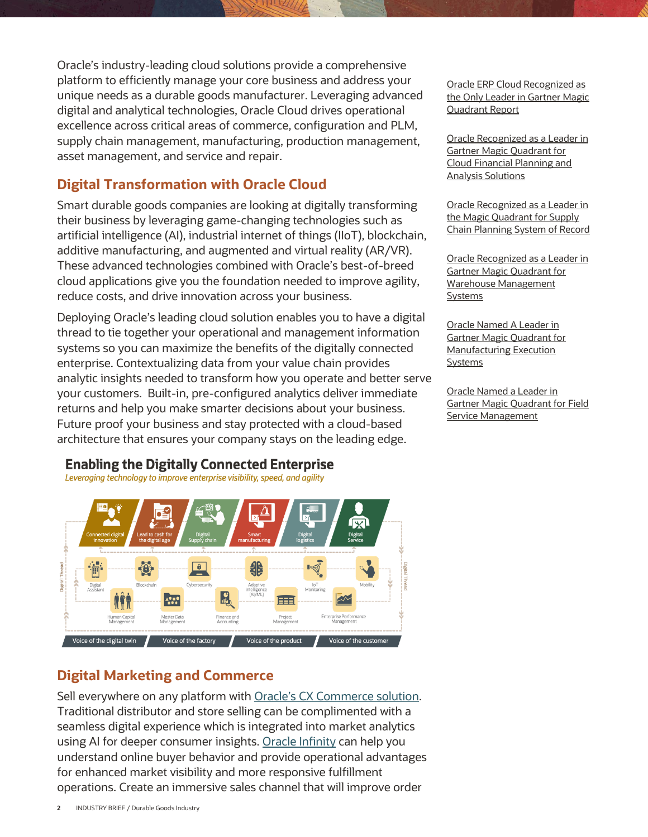Oracle's industry-leading cloud solutions provide a comprehensive platform to efficiently manage your core business and address your unique needs as a durable goods manufacturer. Leveraging advanced digital and analytical technologies, Oracle Cloud drives operational excellence across critical areas of commerce, configuration and PLM, supply chain management, manufacturing, production management, asset management, and service and repair.

## **Digital Transformation with Oracle Cloud**

Smart durable goods companies are looking at digitally transforming their business by leveraging game-changing technologies such as artificial intelligence (AI), industrial internet of things (IIoT), blockchain, additive manufacturing, and augmented and virtual reality (AR/VR). These advanced technologies combined with Oracle's best-of-breed cloud applications give you the foundation needed to improve agility, reduce costs, and drive innovation across your business.

Deploying Oracle's leading cloud solution enables you to have a digital thread to tie together your operational and management information systems so you can maximize the benefits of the digitally connected enterprise. Contextualizing data from your value chain provides analytic insights needed to transform how you operate and better serve your customers. Built-in, pre-configured analytics deliver immediate returns and help you make smarter decisions about your business. Future proof your business and stay protected with a cloud-based architecture that ensures your company stays on the leading edge.



## **Enabling the Digitally Connected Enterprise**

Leveraging technology to improve enterprise visibility, speed, and agility

## **Digital Marketing and Commerce**

Sell everywhere on any platform with [Oracle's CX Commerce solution](https://www.oracle.com/applications/customer-experience/ecommerce/). Traditional distributor and store selling can be complimented with a seamless digital experience which is integrated into market analytics using AI for deeper consumer insights. [Oracle Infinity](https://www.oracle.com/marketingcloud/products/digital-analytics/) can help you understand online buyer behavior and provide operational advantages for enhanced market visibility and more responsive fulfillment operations. Create an immersive sales channel that will improve order

[Oracle ERP Cloud Recognized as](https://www.oracle.com/corporate/pressrelease/erp-cloud-leader-gartner-012919.html)  [the Only Leader in Gartner Magic](https://www.oracle.com/corporate/pressrelease/erp-cloud-leader-gartner-012919.html)  [Quadrant Report](https://www.oracle.com/corporate/pressrelease/erp-cloud-leader-gartner-012919.html)

[Oracle Recognized as a Leader in](https://www.oracle.com/corporate/pressrelease/oracle-leader-gartner-mq-cloud-financial-planning-100719.html)  [Gartner Magic Quadrant for](https://www.oracle.com/corporate/pressrelease/oracle-leader-gartner-mq-cloud-financial-planning-100719.html)  [Cloud Financial Planning and](https://www.oracle.com/corporate/pressrelease/oracle-leader-gartner-mq-cloud-financial-planning-100719.html)  [Analysis Solutions](https://www.oracle.com/corporate/pressrelease/oracle-leader-gartner-mq-cloud-financial-planning-100719.html)

[Oracle Recognized as a Leader in](https://www.oracle.com/corporate/pressrelease/oracle-leader-scp-gartner-mq-101518.html)  [the Magic Quadrant for Supply](https://www.oracle.com/corporate/pressrelease/oracle-leader-scp-gartner-mq-101518.html)  [Chain Planning System of Record](https://www.oracle.com/corporate/pressrelease/oracle-leader-scp-gartner-mq-101518.html)

[Oracle Recognized as a Leader in](https://blogs.oracle.com/scm/oracle-leader-2020-gartner-magic-quadrant-wms)  [Gartner Magic Quadrant for](https://blogs.oracle.com/scm/oracle-leader-2020-gartner-magic-quadrant-wms)  [Warehouse Management](https://blogs.oracle.com/scm/oracle-leader-2020-gartner-magic-quadrant-wms)  **[Systems](https://blogs.oracle.com/scm/oracle-leader-2020-gartner-magic-quadrant-wms)** 

[Oracle Named A Leader in](https://www.oracle.com/corporate/pressrelease/gartner-mq-manufacturing-cloud-121619.html)  [Gartner Magic Quadrant for](https://www.oracle.com/corporate/pressrelease/gartner-mq-manufacturing-cloud-121619.html)  [Manufacturing Execution](https://www.oracle.com/corporate/pressrelease/gartner-mq-manufacturing-cloud-121619.html)  [Systems](https://www.oracle.com/corporate/pressrelease/gartner-mq-manufacturing-cloud-121619.html)

[Oracle Named a Leader in](https://blogs.oracle.com/cx/oracle-named-a-leader-in-2019-gartner-magic-quadrant-for-field-service-management)  [Gartner Magic Quadrant for Field](https://blogs.oracle.com/cx/oracle-named-a-leader-in-2019-gartner-magic-quadrant-for-field-service-management)  [Service Management](https://blogs.oracle.com/cx/oracle-named-a-leader-in-2019-gartner-magic-quadrant-for-field-service-management)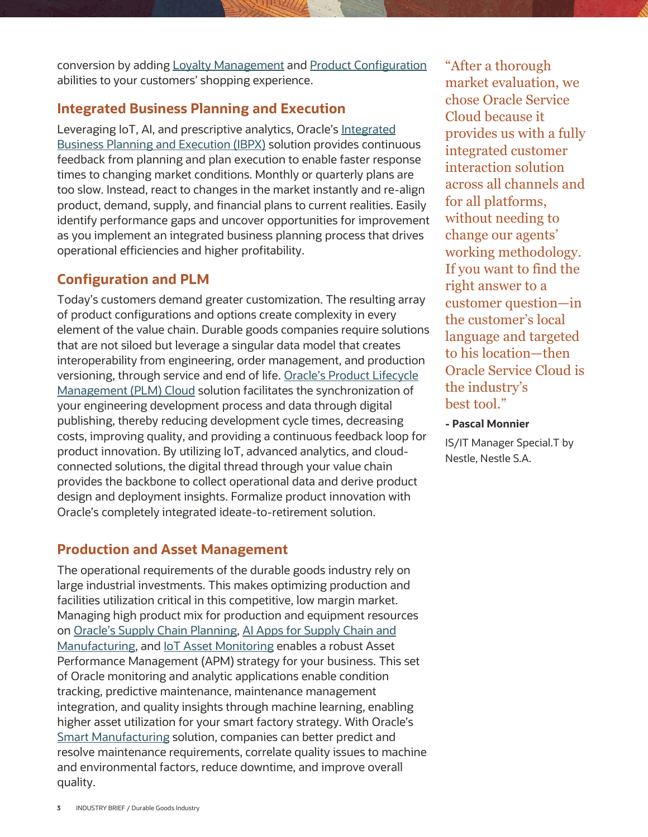conversion by adding [Loyalty Management](https://www.oracle.com/applications/customer-experience/sales/loyalty-cloud.html) and [Product Configuration](https://www.oracle.com/applications/customer-experience/cpq/) abilities to your customers' shopping experience.

## **Integrated Business Planning and Execution**

Leveraging IoT, AI, and prescriptive analytics, Oracle's [Integrated](https://www.oracle.com/industries/high-tech/agile-planning-execution.html)  [Business Planning and Execution \(IBPX\)](https://www.oracle.com/industries/high-tech/agile-planning-execution.html) solution provides continuous feedback from planning and plan execution to enable faster response times to changing market conditions. Monthly or quarterly plans are too slow. Instead, react to changes in the market instantly and re-align product, demand, supply, and financial plans to current realities. Easily identify performance gaps and uncover opportunities for improvement as you implement an integrated business planning process that drives operational efficiencies and higher profitability.

## **Configuration and PLM**

Today's customers demand greater customization. The resulting array of product configurations and options create complexity in every element of the value chain. Durable goods companies require solutions that are not siloed but leverage a singular data model that creates interoperability from engineering, order management, and production versioning, through service and end of life. [Oracle's Product Lifecycle](https://www.oracle.com/applications/supply-chain-management/product-lifecycle-management/)  [Management \(PLM\)](https://www.oracle.com/applications/supply-chain-management/product-lifecycle-management/) Cloud solution facilitates the synchronization of your engineering development process and data through digital publishing, thereby reducing development cycle times, decreasing costs, improving quality, and providing a continuous feedback loop for product innovation. By utilizing IoT, advanced analytics, and cloudconnected solutions, the digital thread through your value chain provides the backbone to collect operational data and derive product design and deployment insights. Formalize product innovation with Oracle's completely integrated ideate-to-retirement solution.

## **Production and Asset Management**

The operational requirements of the durable goods industry rely on large industrial investments. This makes optimizing production and facilities utilization critical in this competitive, low margin market. Managing high product mix for production and equipment resources on [Oracle's Supply Chain Planning](https://www.oracle.com/applications/supply-chain-management/), [AI Apps for Supply Chain and](https://www.oracle.com/applications/ai-apps/supply-chain-and-manufacturing/)  [Manufacturing,](https://www.oracle.com/applications/ai-apps/supply-chain-and-manufacturing/) an[d IoT Asset Monitoring](https://www.oracle.com/internet-of-things/saas-applications.html) enables a robust Asset Performance Management (APM) strategy for your business. This set of Oracle monitoring and analytic applications enable condition tracking, predictive maintenance, maintenance management integration, and quality insights through machine learning, enabling higher asset utilization for your smart factory strategy. With Oracle's [Smart Manufacturing](https://www.oracle.com/industries/industrial-manufacturing/smart-manufacturing.html) solution, companies can better predict and resolve maintenance requirements, correlate quality issues to machine and environmental factors, reduce downtime, and improve overall quality.

"After a thorough market evaluation, we chose Oracle Service Cloud because it provides us with a fully integrated customer interaction solution across all channels and for all platforms, without needing to change our agents' working methodology. If you want to find the right answer to a customer question—in the customer's local language and targeted to his location—then Oracle Service Cloud is the industry's best tool."

#### **- Pascal Monnier**

IS/IT Manager Special.T by Nestle, Nestle S.A.